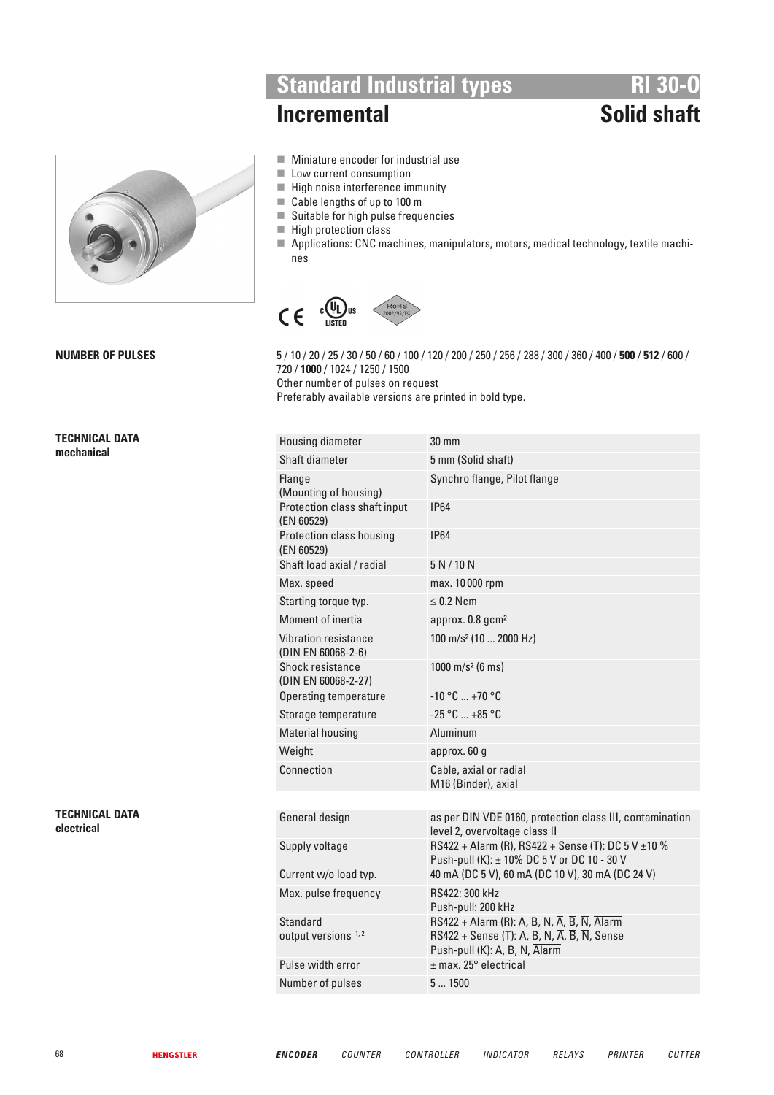

**TECHNICAL DATA mechanical** 

**TECHNICAL DATA electrical** 

**Standard Industrial types**<br> **RI 30-0**<br> **Solid shaft** 

# **Incremental**

- $\blacksquare$  Miniature encoder for industrial use
- $\blacksquare$  Low current consumption
- $\blacksquare$  High noise interference immunity
- Cable lengths of up to 100 m
- $\blacksquare$  Suitable for high pulse frequencies
- $\blacksquare$  High protection class
- Applications: CNC machines, manipulators, motors, medical technology, textile machines



**NUMBER OF PULSES** 5 / 10 / 20 / 25 / 30 / 50 / 60 / 100 / 120 / 200 / 250 / 256 / 288 / 300 / 360 / 400 / **500** / **512** / 600 / 720 / **1000** / 1024 / 1250 / 1500 Other number of pulses on request Preferably available versions are printed in bold type.

| Housing diameter                                  | $30 \text{ mm}$                                                                                                                                                                                               |
|---------------------------------------------------|---------------------------------------------------------------------------------------------------------------------------------------------------------------------------------------------------------------|
| Shaft diameter                                    | 5 mm (Solid shaft)                                                                                                                                                                                            |
| Flange<br>(Mounting of housing)                   | Synchro flange, Pilot flange                                                                                                                                                                                  |
| Protection class shaft input<br>(EN 60529)        | <b>IP64</b>                                                                                                                                                                                                   |
| Protection class housing<br>(EN 60529)            | <b>IP64</b>                                                                                                                                                                                                   |
| Shaft load axial / radial                         | 5 N/10 N                                                                                                                                                                                                      |
| Max. speed                                        | max. 10000 rpm                                                                                                                                                                                                |
| Starting torque typ.                              | $\leq$ 0.2 Ncm                                                                                                                                                                                                |
| Moment of inertia                                 | approx. 0.8 gcm <sup>2</sup>                                                                                                                                                                                  |
| Vibration resistance<br>(DIN EN 60068-2-6)        | 100 m/s <sup>2</sup> (10  2000 Hz)                                                                                                                                                                            |
| Shock resistance<br>(DIN EN 60068-2-27)           | 1000 m/s <sup>2</sup> (6 ms)                                                                                                                                                                                  |
| Operating temperature                             | $-10 °C  +70 °C$                                                                                                                                                                                              |
| Storage temperature                               | $-25 °C = +85 °C$                                                                                                                                                                                             |
| <b>Material housing</b>                           | Aluminum                                                                                                                                                                                                      |
| Weight                                            | approx. 60 g                                                                                                                                                                                                  |
| Connection                                        | Cable, axial or radial<br>M16 (Binder), axial                                                                                                                                                                 |
|                                                   |                                                                                                                                                                                                               |
| General design                                    | as per DIN VDE 0160, protection class III, contamination<br>level 2, overvoltage class II                                                                                                                     |
| Supply voltage                                    | RS422 + Alarm (R), RS422 + Sense (T): DC 5 V $\pm$ 10 %<br>Push-pull (K): ± 10% DC 5 V or DC 10 - 30 V                                                                                                        |
| Current w/o load typ.                             | 40 mA (DC 5 V), 60 mA (DC 10 V), 30 mA (DC 24 V)                                                                                                                                                              |
| Max. pulse frequency                              | RS422: 300 kHz<br>Push-pull: 200 kHz                                                                                                                                                                          |
| <b>Standard</b><br>output versions <sup>1,2</sup> | RS422 + Alarm (R): A, B, N, $\overline{A}$ , $\overline{B}$ , $\overline{N}$ , Alarm<br>RS422 + Sense (T): A, B, N, $\overline{A}$ , $\overline{B}$ , $\overline{N}$ , Sense<br>Push-pull (K): A, B, N, Alarm |
| Pulse width error                                 | $±$ max. 25 $^{\circ}$ electrical                                                                                                                                                                             |
| Number of pulses                                  | 51500                                                                                                                                                                                                         |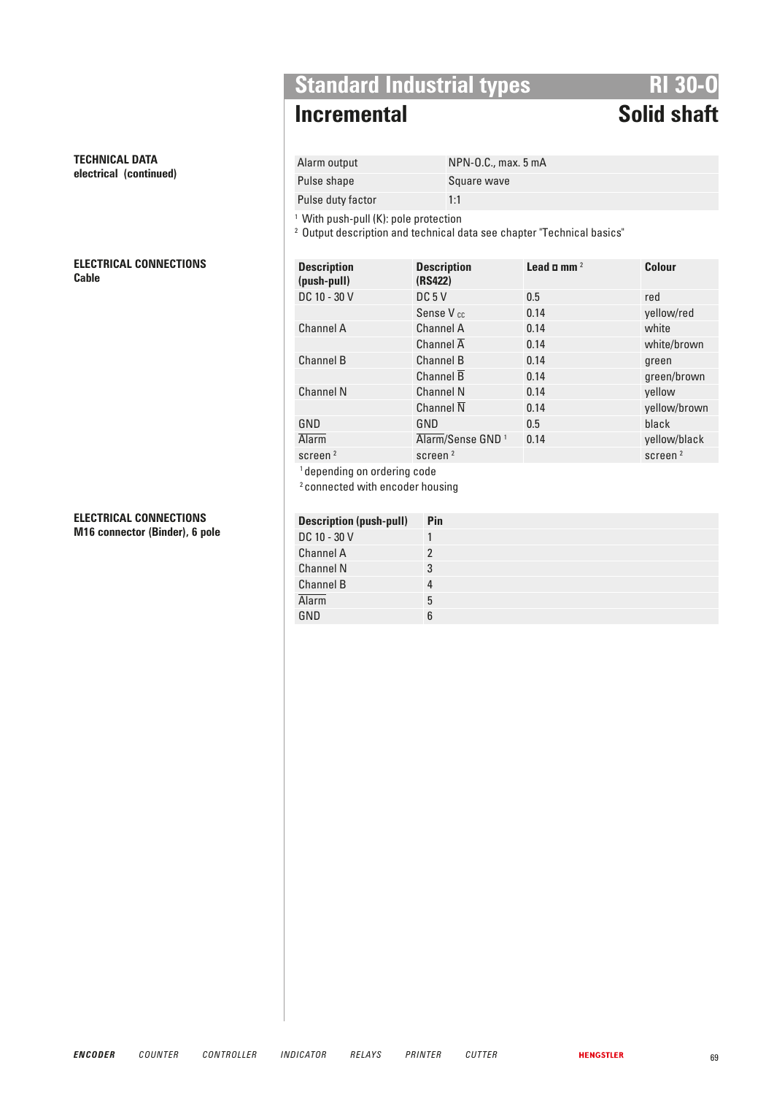**Standard Industrial types**<br>**RI 30-0**<br>**RI 30-0** 

# **Incremental**

Alarm output NPN-O.C., max. 5 mA Pulse shape Square wave

Pulse duty factor 1:1

<sup>1</sup> With push-pull (K): pole protection

<sup>2</sup> Output description and technical data see chapter "Technical basics"

| <b>Description</b><br>(push-pull) | <b>Description</b><br>(RS422) | Lead $\Box$ mm $^2$ | <b>Colour</b>       |
|-----------------------------------|-------------------------------|---------------------|---------------------|
| DC 10 - 30 V                      | DC <sub>5</sub> V             | 0.5                 | red                 |
|                                   | Sense V <sub>cc</sub>         | 0.14                | yellow/red          |
| <b>Channel A</b>                  | <b>Channel A</b>              | 0.14                | white               |
|                                   | Channel $\overline{A}$        | 0.14                | white/brown         |
| <b>Channel B</b>                  | Channel B                     | 0.14                | green               |
|                                   | Channel B                     | 0.14                | green/brown         |
| <b>Channel N</b>                  | <b>Channel N</b>              | 0.14                | yellow              |
|                                   | Channel $\overline{N}$        | 0.14                | yellow/brown        |
| GND                               | GND                           | 0.5                 | black               |
| <b>Alarm</b>                      | Alarm/Sense GND <sup>1</sup>  | 0.14                | yellow/black        |
| screen <sup>2</sup>               | screen <sup>2</sup>           |                     | screen <sup>2</sup> |
| .                                 |                               |                     |                     |

<sup>1</sup> depending on ordering code

2 connected with encoder housing

| <b>Description (push-pull)</b> | Pin |
|--------------------------------|-----|
| DC 10 - 30 V                   |     |
| Channel A                      |     |
| <b>Channel N</b>               | 3   |
| Channel B                      | 4   |
| <b>Alarm</b>                   | 5   |
| GND                            |     |

### **TECHNICAL DATA electrical (continued)**

**ELECTRICAL CONNECTIONS Cable Description** 

### **ELECTRICAL CONNECTIONS M16 connector (Binder), 6 pole**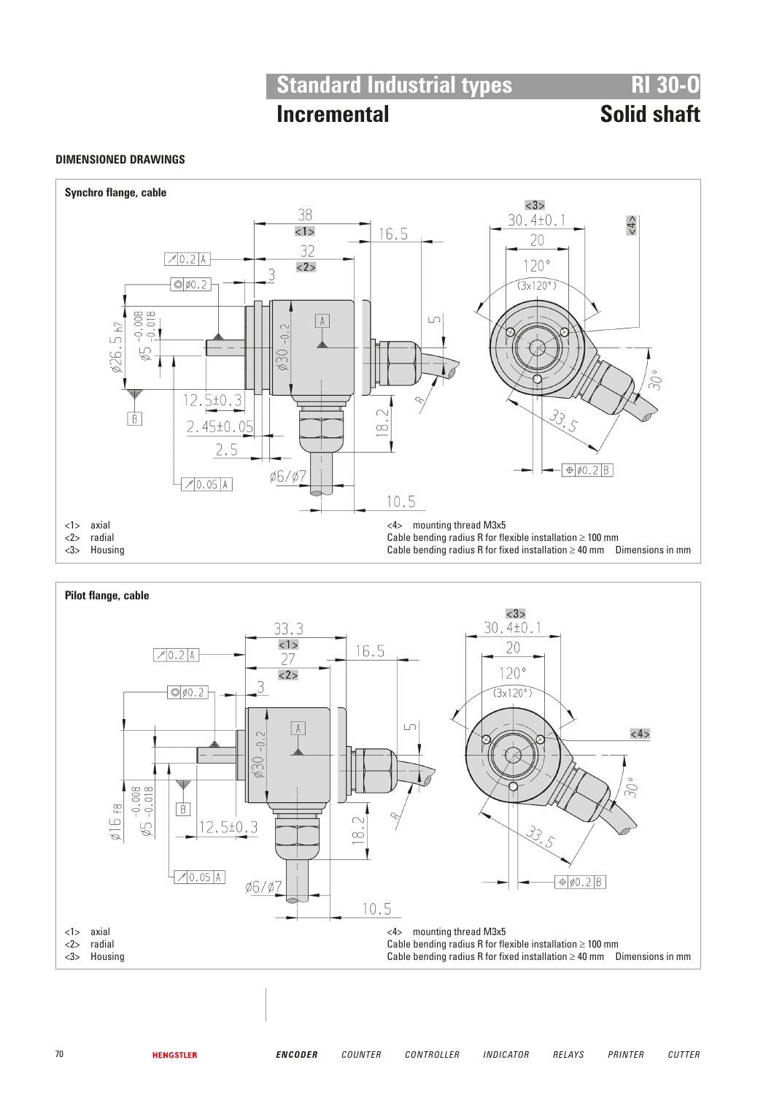# **Standard Industrial types**<br>**RI 30-0**<br>**RI 30-0**<br>**RI 30-0**

# **Incremental**

## **DIMENSIONED DRAWINGS**



|   | axial   |  | <4> | mounting thread M3x5                                                         |  |
|---|---------|--|-----|------------------------------------------------------------------------------|--|
| 2 | radial  |  |     | Cable bending radius R for flexible installation $\geq 100$ mm               |  |
|   | Housing |  |     | Cable bending radius R for fixed installation $\geq 40$ mm  Dimensions in mm |  |
|   |         |  |     |                                                                              |  |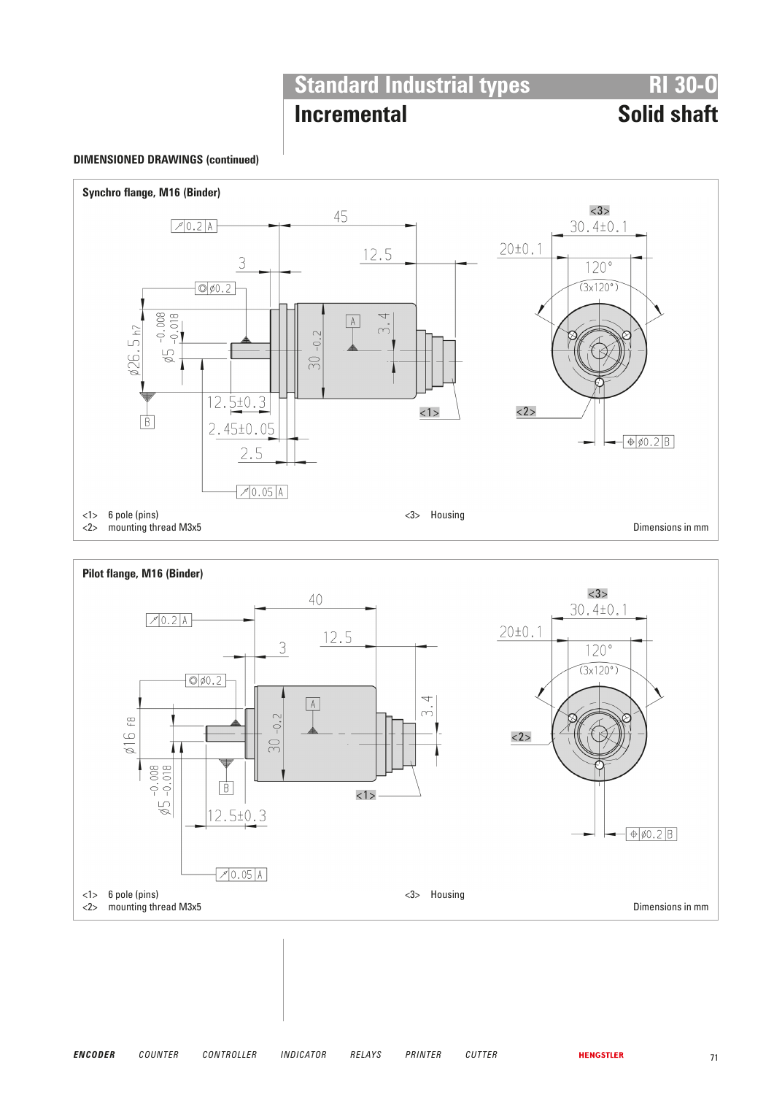# **Standard Industrial types**<br>**RI 30-0**<br>**RI 30-0**

# **Incremental**

## **DIMENSIONED DRAWINGS (continued)**